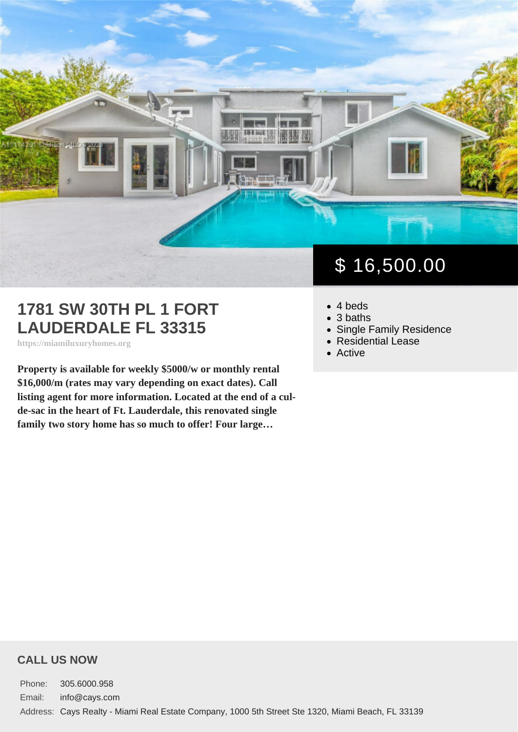## 1781 SW 30TH PL 1 FORT LAUDERDALE FL 33315

https://miamiluxuryhomes.org

Property is available for weekly \$5000/w or monthly rental \$16,000/m (rates may vary depending on exact dates). Call listing agent for more information. Located at the end of a culde-sac in the heart of Ft. Lauderdale, this renovated single family two story home has so much to offer! Four large…

# \$ 16,500.00

- 4 beds
- 3 baths
- [Single Family Residence](https://miamiluxuryhomes.org/es_type/single-family-residence/)
- [Residential Lease](https://miamiluxuryhomes.org/es_category/residential-lease/)
- [Active](https://miamiluxuryhomes.org/es_status/active/)

#### CALL US NOW

Phone: 305.6000.958 Email: info@cays.com Address: Cays Realty - Miami Real Estate Company, 1000 5th Street Ste 1320, Miami Beach, FL 33139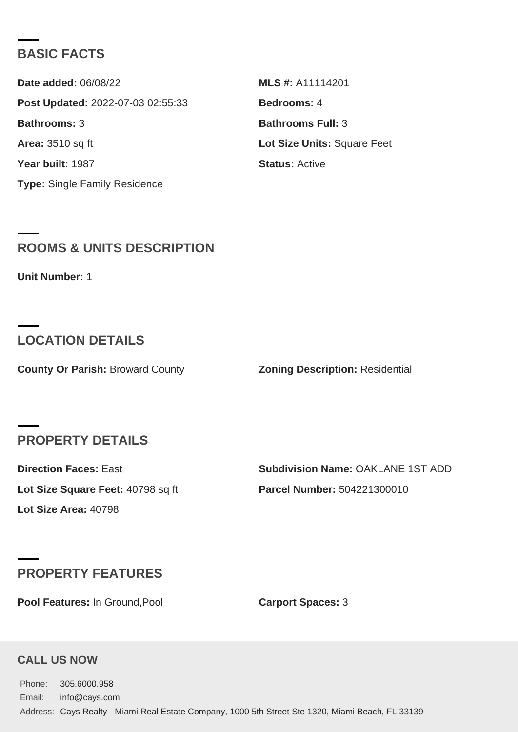#### BASIC FACTS

Date added: 06/08/22 MLS #: A11114201 Post Updated: 2022-07-03 02:55:33 Bedrooms: 4 Bathrooms: 3 Bathrooms Full: 3 Area: 3510 sq ft Lot Size Units: Square Feet Year built: 1987 Status: [Active](https://miamiluxuryhomes.org/es_status/active/) Type: [Single Family Residence](https://miamiluxuryhomes.org/es_type/single-family-residence/)

### ROOMS & UNITS DESCRIPTION

Unit Number: 1

## LOCATION DETAILS

County Or Parish: Broward County **Zoning Description: Residential** 

#### PROPERTY DETAILS

Lot Size Area: 40798

Direction Faces: East The Subdivision Name: OAKLANE 1ST ADD Lot Size Square Feet: 40798 sq ft Parcel Number: 504221300010

## PROPERTY FEATURES

Pool Features: In Ground, Pool **Carport Spaces: 3** 

#### CALL US NOW

Phone: 305.6000.958 Email: info@cays.com Address: Cays Realty - Miami Real Estate Company, 1000 5th Street Ste 1320, Miami Beach, FL 33139